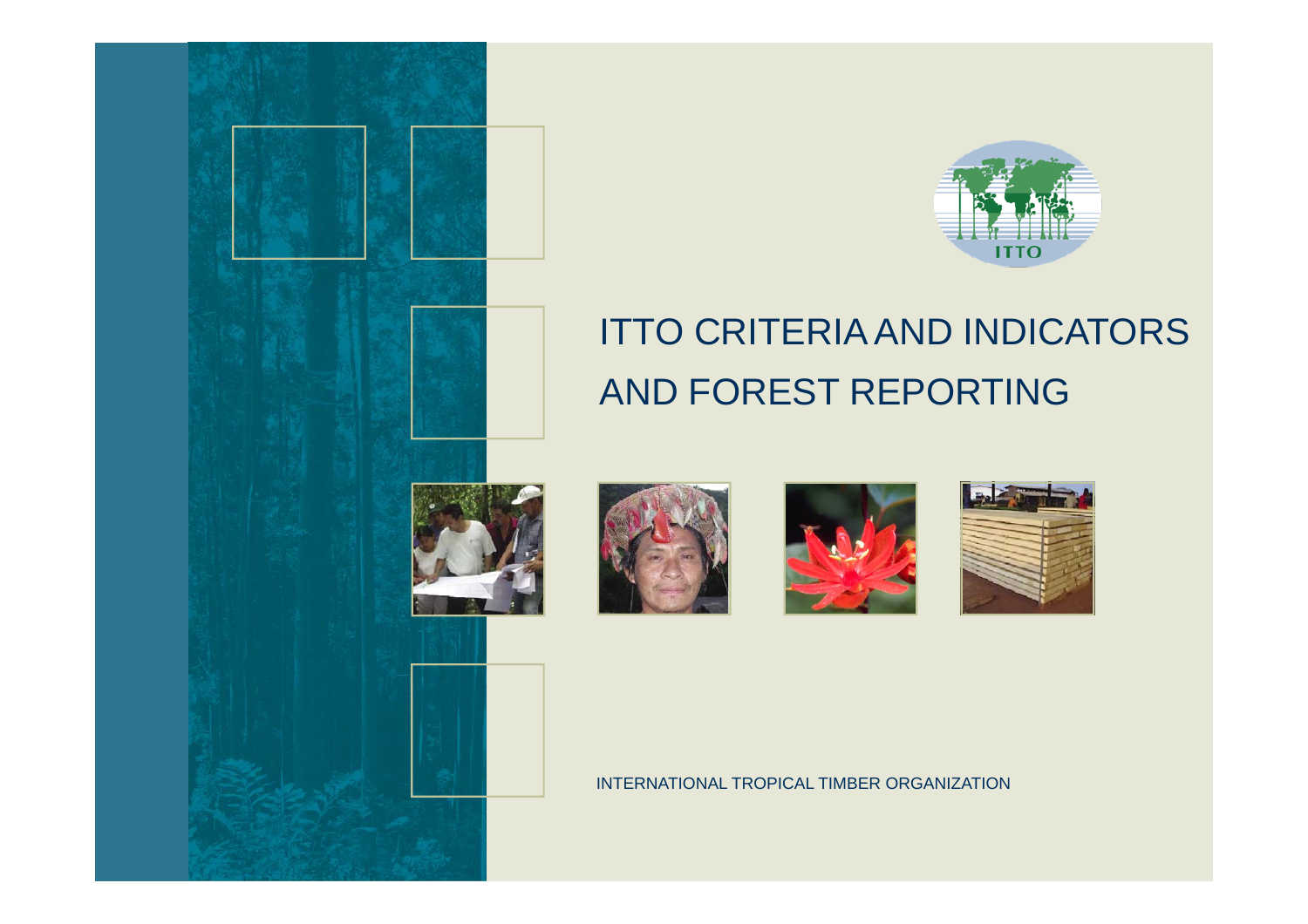



## ITTO CRITERIA AND INDICATORS AND FOREST REPORTING







INTERNATIONAL TROPICAL TIMBER ORGANIZATION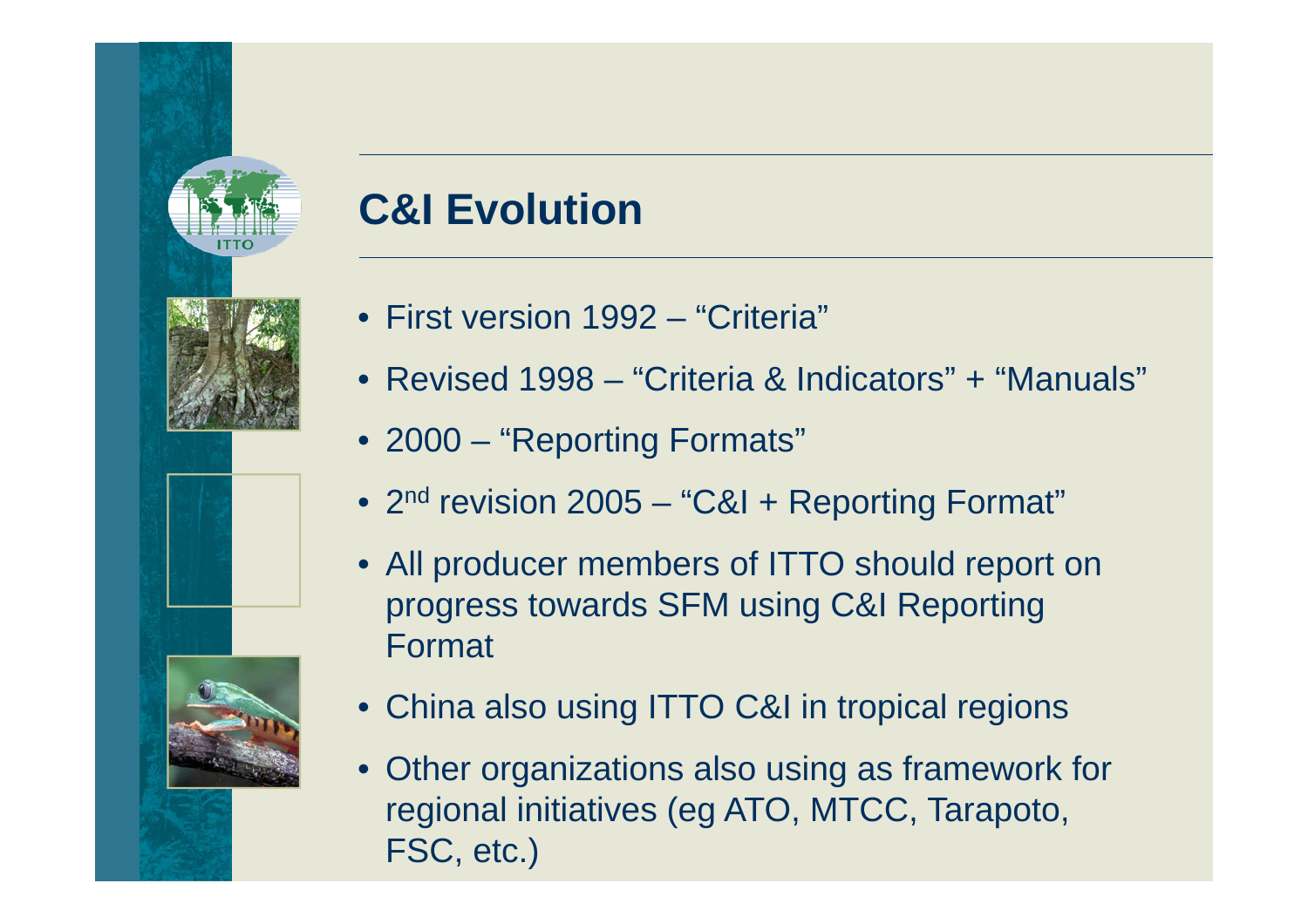

### **C&I Evolution**

- First version 1992 "Criteria"
- Revised 1998 "Criteria & Indicators" + "Manuals"
- 2000 "Reporting Formats"
- 2<sup>nd</sup> revision 2005 "C&I + Reporting Format"
- All producer members of ITTO should report on progress towards SFM using C&I Reporting Format
- China also using ITTO C&I in tropical regions
- Other organizations also using as framework for regional initiatives (eg ATO, MTCC, Tarapoto, FSC, etc.)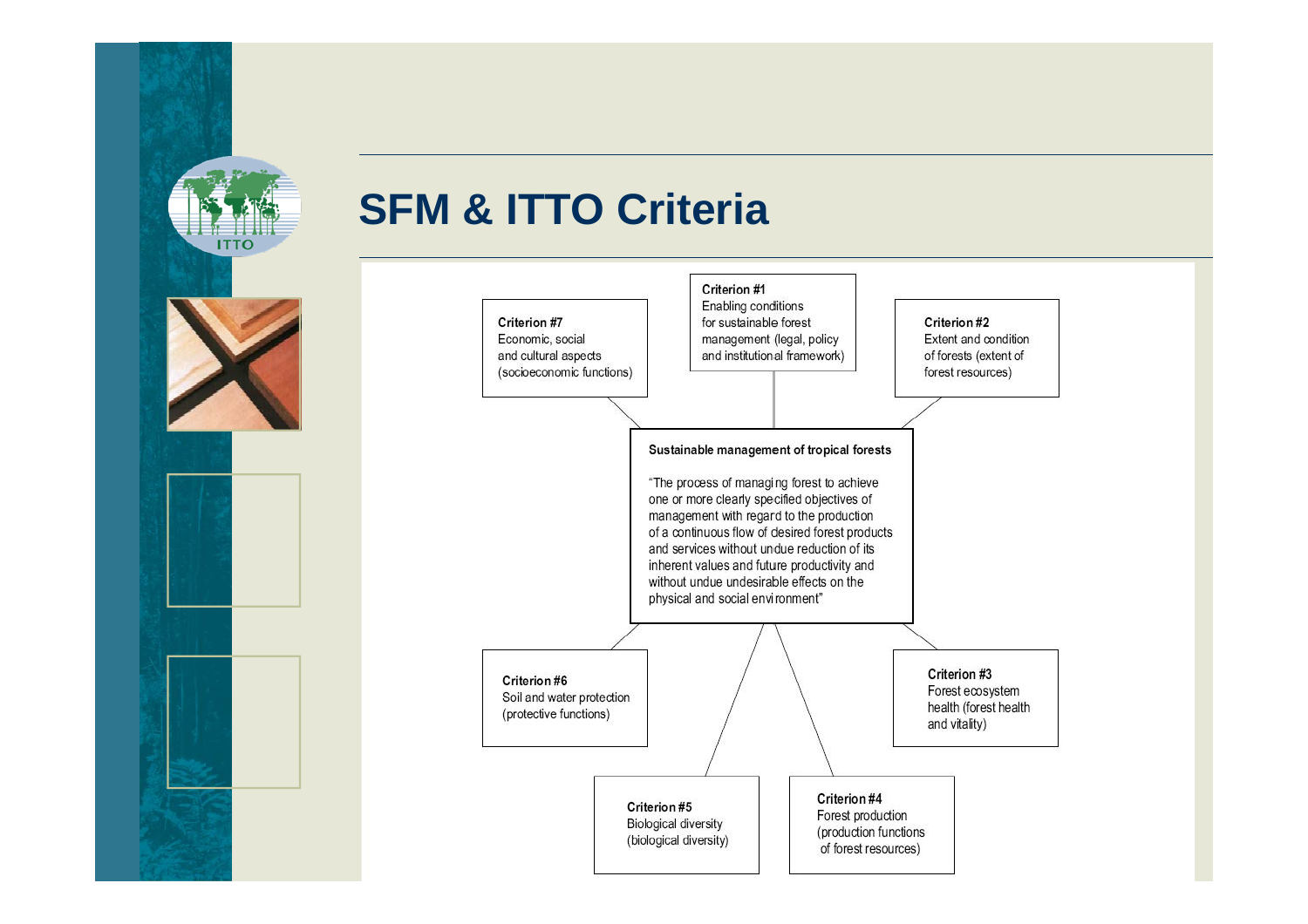

#### **SFM & ITTO Criteria**

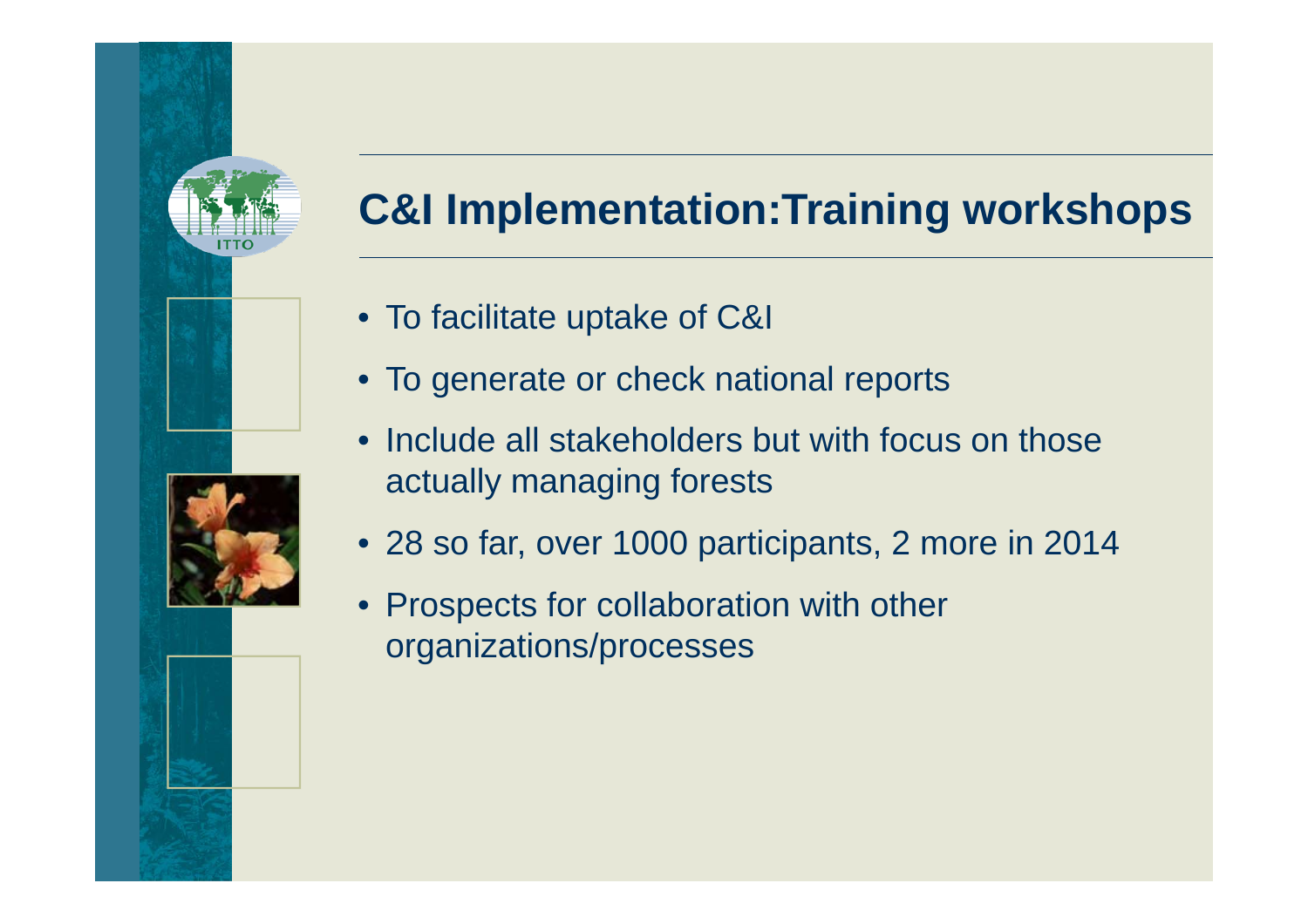# **C&I Implementation:Training workshops**

- To facilitate uptake of C&I
- To generate or check national reports
- Include all stakeholders but with focus on those actually managing forests
- 28 so far, over 1000 participants, 2 more in 2014
- Prospects for collaboration with other organizations/processes

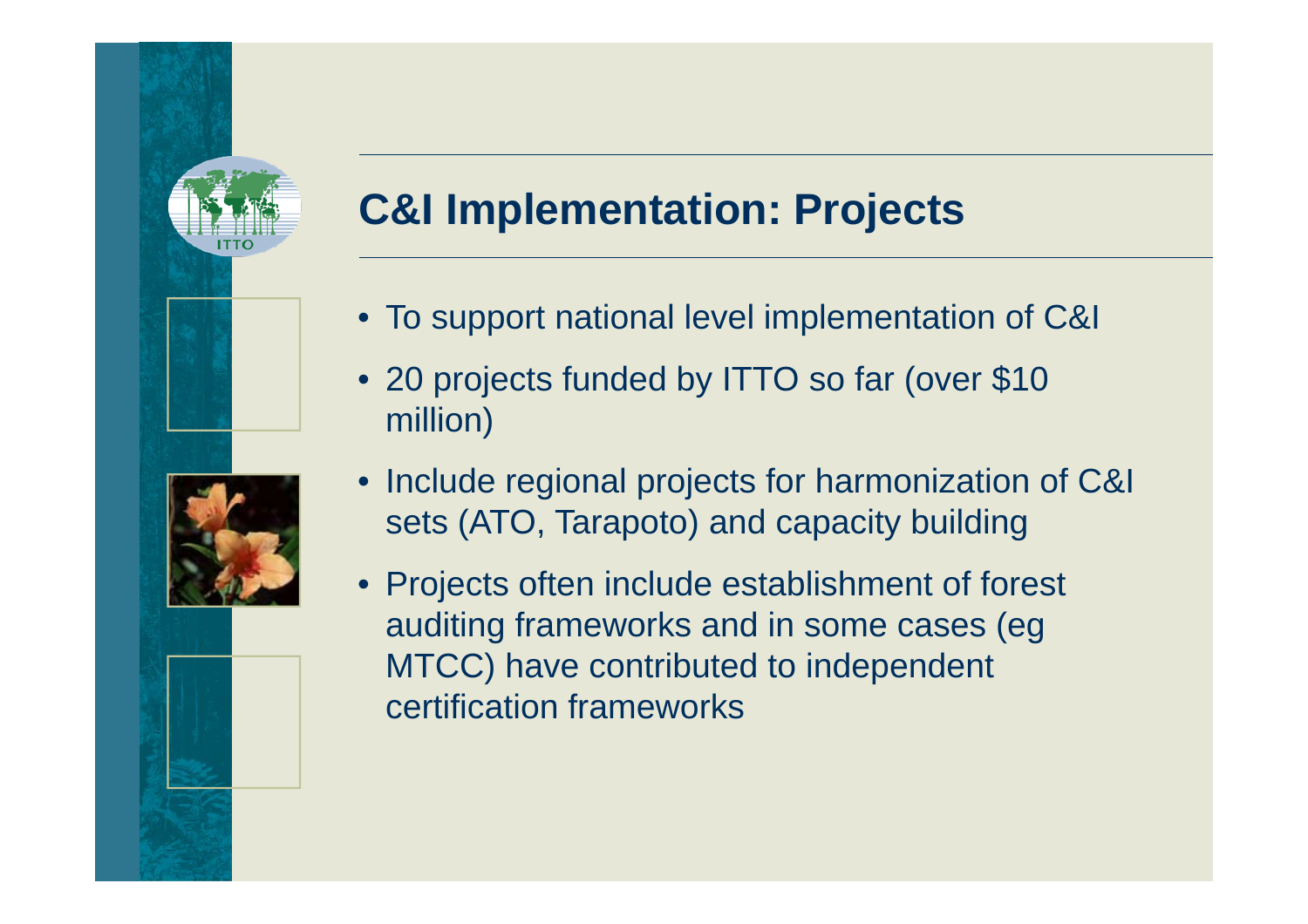# **C&I Implementation: Projects**

- To support national level implementation of C&I
- 20 projects funded by ITTO so far (over \$10 million)
- Include regional projects for harmonization of C&I sets (ATO, Tarapoto) and capacity building
- Projects often include establishment of forest auditing frameworks and in some cases (eg MTCC) have contributed to independent certification frameworks

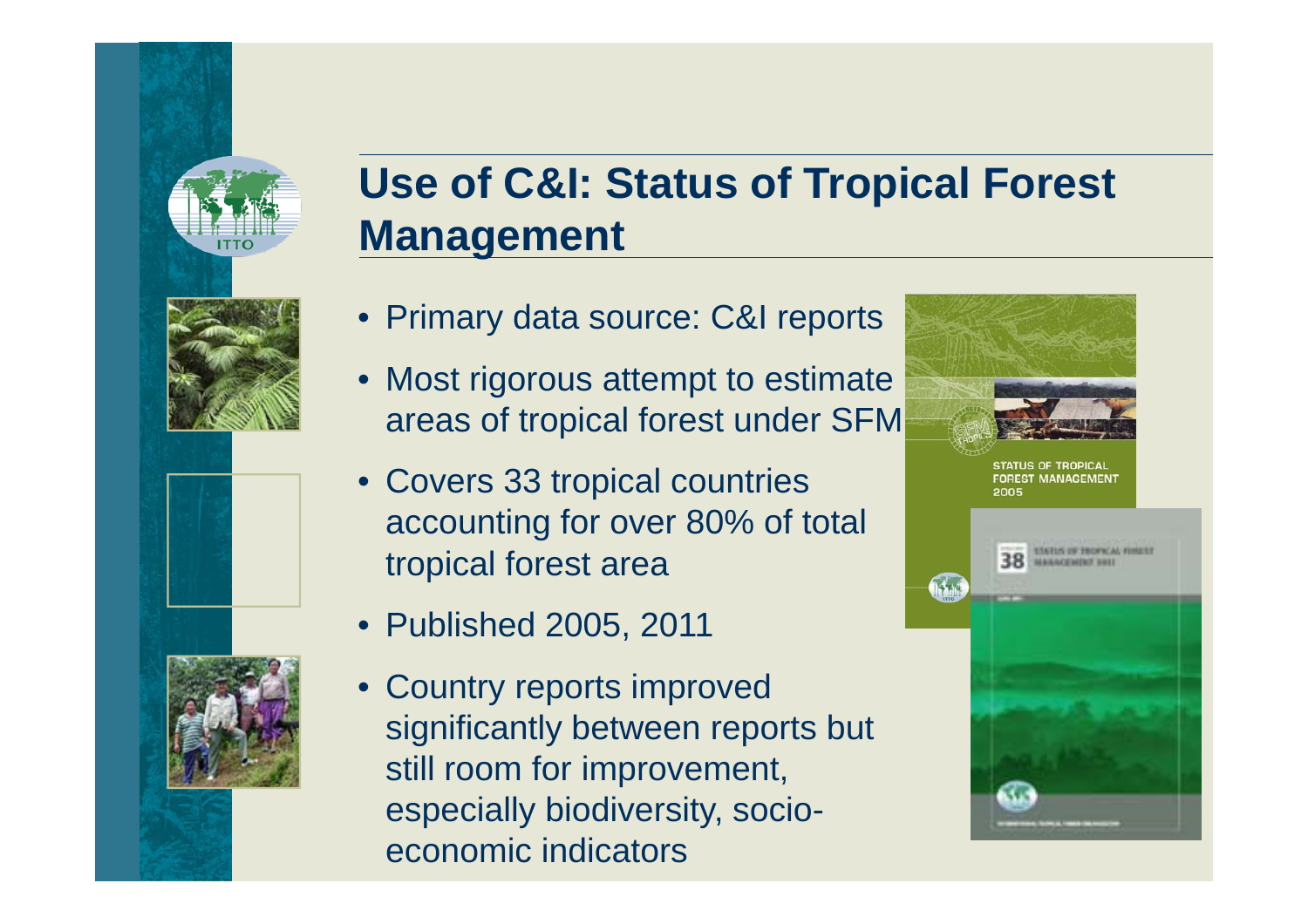

### **Use of C&I: Status of Tropical Forest Management**

- Primary data source: C&I reports
- Most rigorous attempt to estimate areas of tropical forest under SFM
- Covers 33 tropical countries accounting for over 80% of total tropical forest area
- Published 2005, 2011
- Country reports improved significantly between reports but still room for improvement, especially biodiversity, socioeconomic indicators

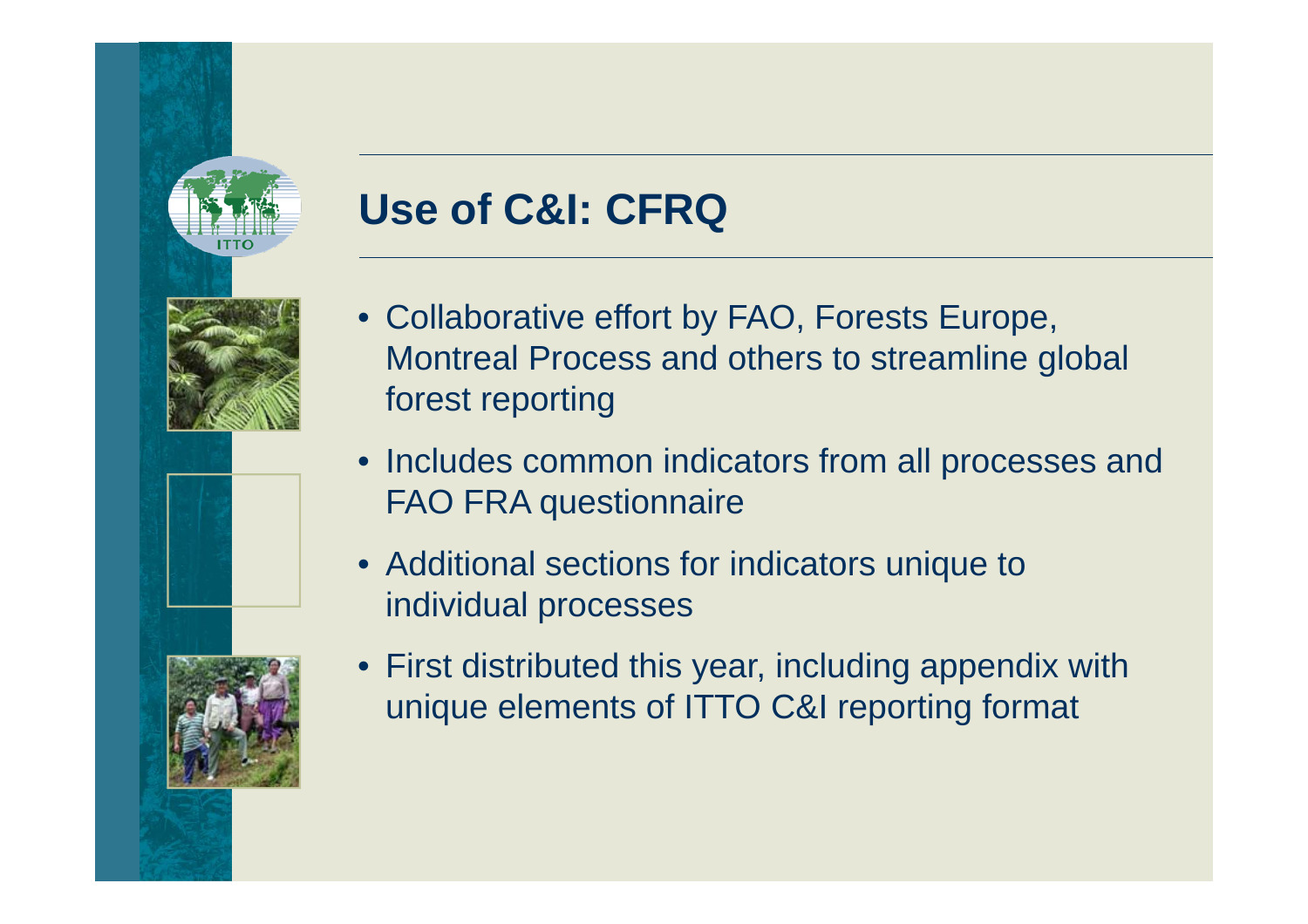

# **Use of C&I: CFRQ**

- Collaborative effort by FAO, Forests Europe, Montreal Process and others to streamline global forest reporting
- Includes common indicators from all processes and FAO FRA questionnaire
- Additional sections for indicators unique to individual processes
- 
- First distributed this year, including appendix with unique elements of ITTO C&I reporting format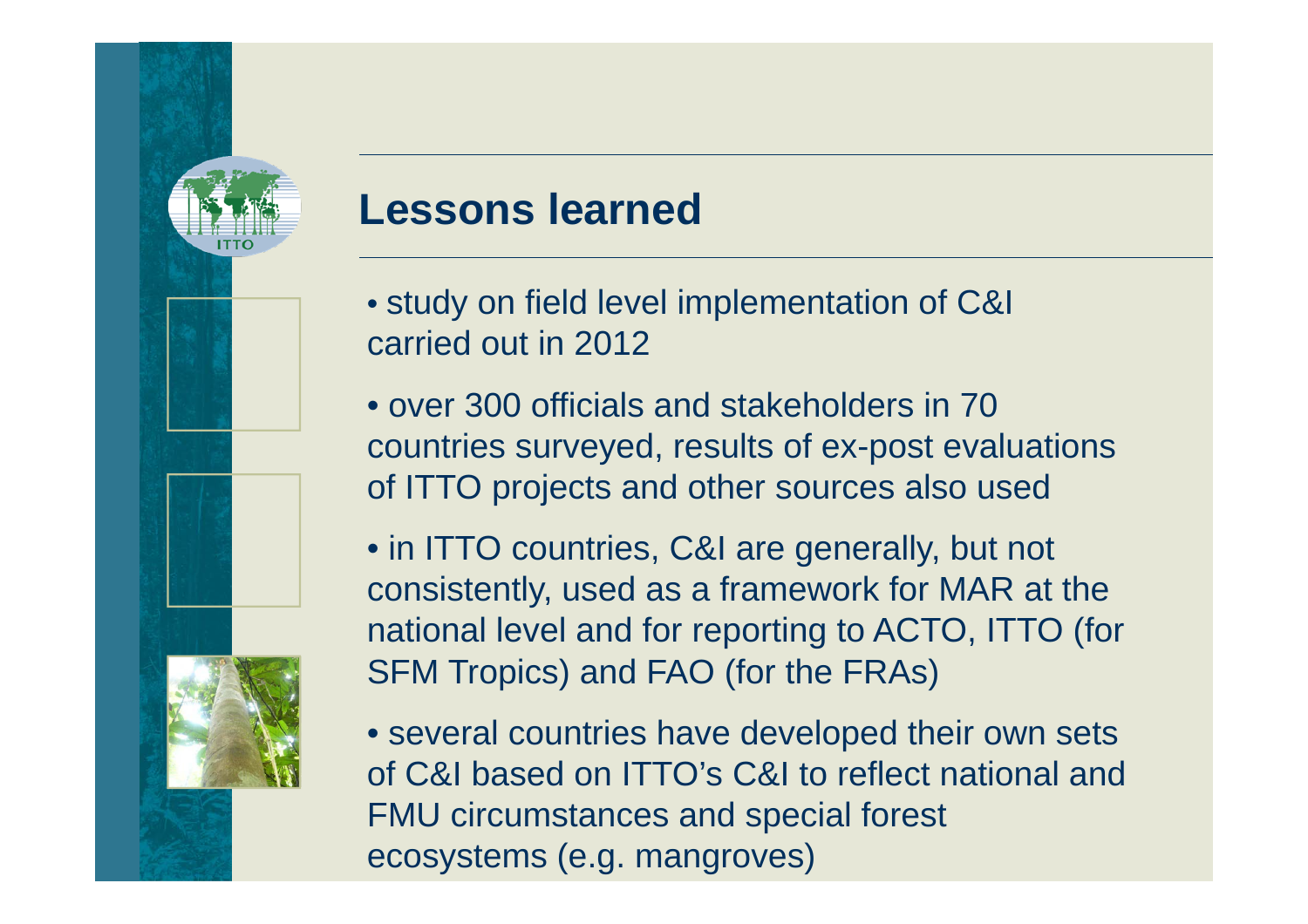

#### **Lessons learned**

- study on field level implementation of C&I carried out in 2012
- over 300 officials and stakeholders in 70 countries surveyed, results of ex-post evaluations of ITTO projects and other sources also used
- in ITTO countries, C&I are generally, but not consistently, used as a framework for MAR at the national level and for reporting to ACTO, ITTO (for SFM Tropics) and FAO (for the FRAs)
- several countries have developed their own sets of C&I based on ITTO's C&I to reflect national and FMU circumstances and special forest ecosystems (e.g. mangroves)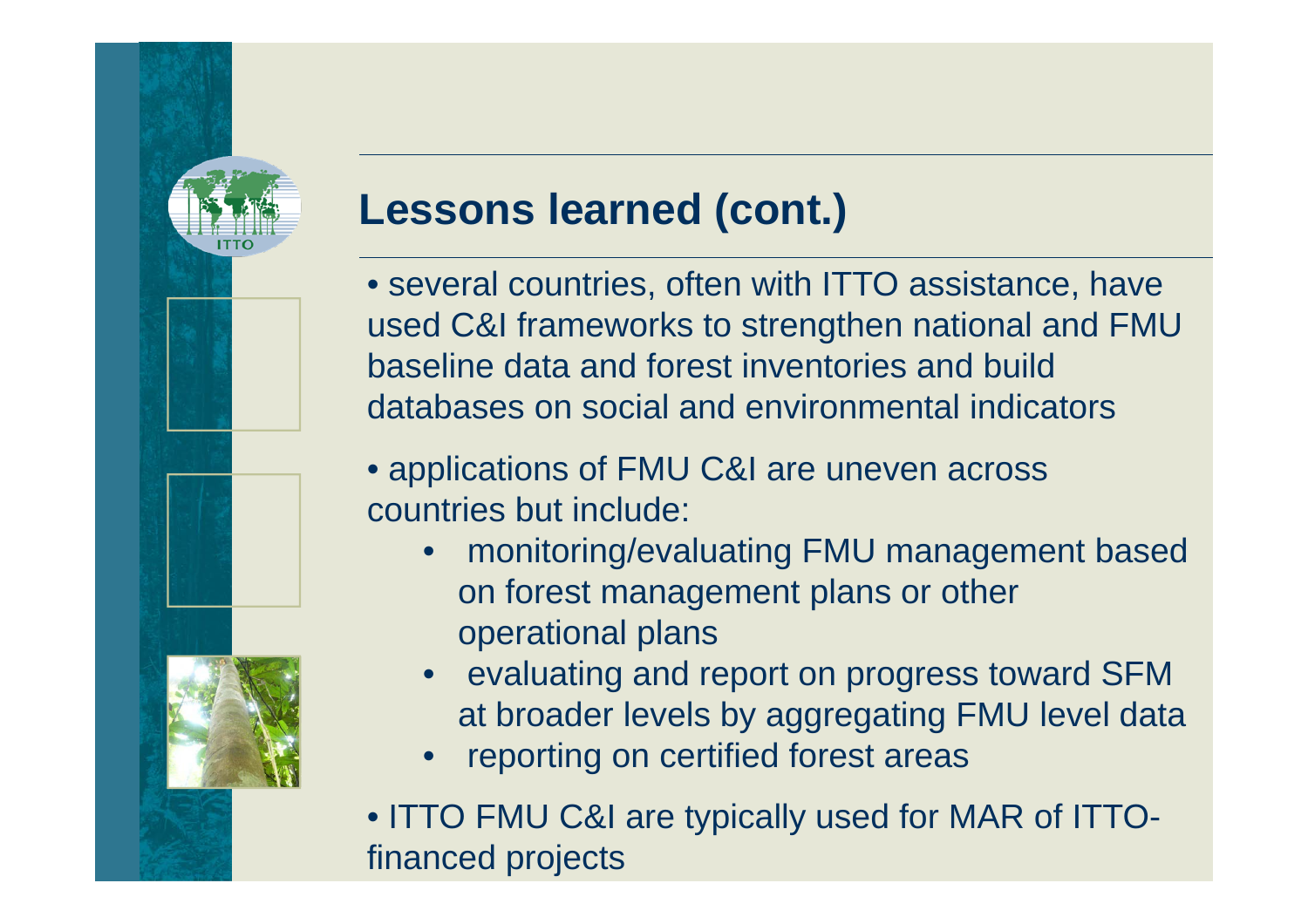

### **Lessons learned (cont.)**

- several countries, often with ITTO assistance, have used C&I frameworks to strengthen national and FMU baseline data and forest inventories and build databases on social and environmental indicators
- applications of FMU C&I are uneven across countries but include:
	- • monitoring/evaluating FMU management based on forest management plans or other operational plans
	- • evaluating and report on progress toward SFM at broader levels by aggregating FMU level data
	- •reporting on certified forest areas
- ITTO FMU C&I are typically used for MAR of ITTOfinanced projects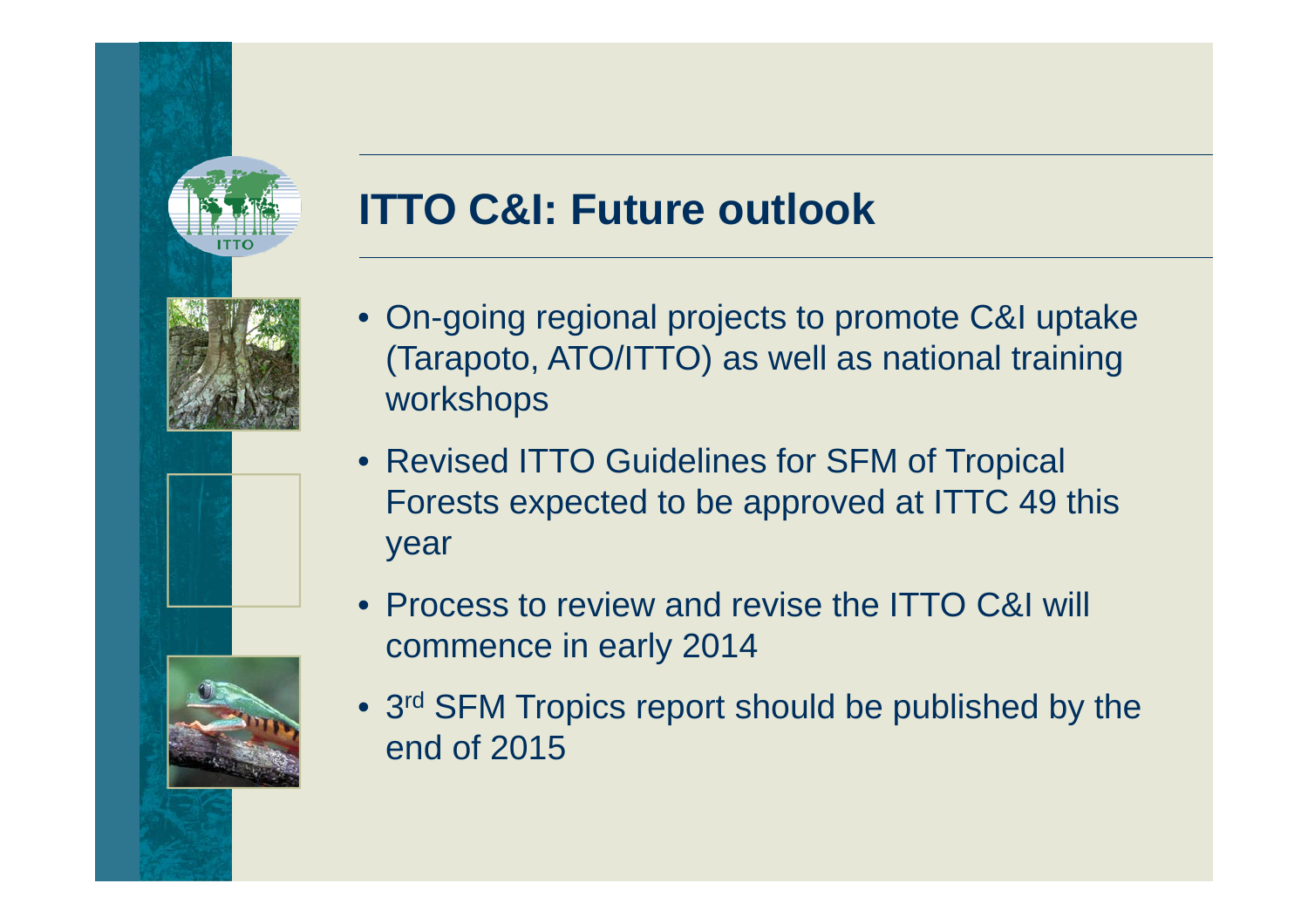

## **ITTO C&I: Future outlook**



- Revised ITTO Guidelines for SFM of Tropical Forests expected to be approved at ITTC 49 this year
- Process to review and revise the ITTO C&I will commence in early 2014
- 3<sup>rd</sup> SFM Tropics report should be published by the end of 2015